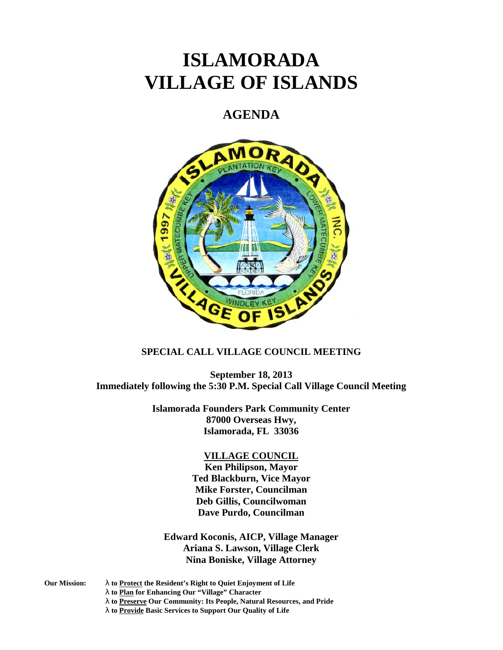# **ISLAMORADA VILLAGE OF ISLANDS**

## **AGENDA**



### **SPECIAL CALL VILLAGE COUNCIL MEETING**

**September 18, 2013 Immediately following the 5:30 P.M. Special Call Village Council Meeting**

> **Islamorada Founders Park Community Center 87000 Overseas Hwy, Islamorada, FL 33036**

#### **VILLAGE COUNCIL**

**Ken Philipson, Mayor Ted Blackburn, Vice Mayor Mike Forster, Councilman Deb Gillis, Councilwoman Dave Purdo, Councilman**

**Edward Koconis, AICP, Village Manager Ariana S. Lawson, Village Clerk Nina Boniske, Village Attorney**

- **Our Mission: to Protect the Resident's Right to Quiet Enjoyment of Life**
	- **to Plan for Enhancing Our "Village" Character**
		- **to Preserve Our Community: Its People, Natural Resources, and Pride**

**to Provide Basic Services to Support Our Quality of Life**